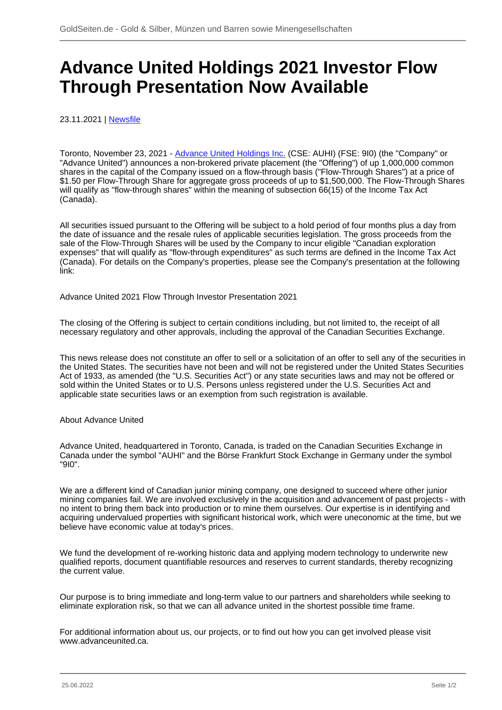## **Advance United Holdings 2021 Investor Flow Through Presentation Now Available**

23.11.2021 | [Newsfile](/profil/273--Newsfile)

Toronto, November 23, 2021 - [Advance United Holdings Inc.](/minen/4105--Advance-United-Holdings-Inc) (CSE: AUHI) (FSE: 9I0) (the "Company" or "Advance United") announces a non-brokered private placement (the "Offering") of up 1,000,000 common shares in the capital of the Company issued on a flow-through basis ("Flow-Through Shares") at a price of \$1.50 per Flow-Through Share for aggregate gross proceeds of up to \$1,500,000. The Flow-Through Shares will qualify as "flow-through shares" within the meaning of subsection 66(15) of the Income Tax Act (Canada).

All securities issued pursuant to the Offering will be subject to a hold period of four months plus a day from the date of issuance and the resale rules of applicable securities legislation. The gross proceeds from the sale of the Flow-Through Shares will be used by the Company to incur eligible "Canadian exploration expenses" that will qualify as "flow-through expenditures" as such terms are defined in the Income Tax Act (Canada). For details on the Company's properties, please see the Company's presentation at the following link:

Advance United 2021 Flow Through Investor Presentation 2021

The closing of the Offering is subject to certain conditions including, but not limited to, the receipt of all necessary regulatory and other approvals, including the approval of the Canadian Securities Exchange.

This news release does not constitute an offer to sell or a solicitation of an offer to sell any of the securities in the United States. The securities have not been and will not be registered under the United States Securities Act of 1933, as amended (the "U.S. Securities Act") or any state securities laws and may not be offered or sold within the United States or to U.S. Persons unless registered under the U.S. Securities Act and applicable state securities laws or an exemption from such registration is available.

## About Advance United

Advance United, headquartered in Toronto, Canada, is traded on the Canadian Securities Exchange in Canada under the symbol "AUHI" and the Börse Frankfurt Stock Exchange in Germany under the symbol "9I0".

We are a different kind of Canadian junior mining company, one designed to succeed where other junior mining companies fail. We are involved exclusively in the acquisition and advancement of past projects - with no intent to bring them back into production or to mine them ourselves. Our expertise is in identifying and acquiring undervalued properties with significant historical work, which were uneconomic at the time, but we believe have economic value at today's prices.

We fund the development of re-working historic data and applying modern technology to underwrite new qualified reports, document quantifiable resources and reserves to current standards, thereby recognizing the current value.

Our purpose is to bring immediate and long-term value to our partners and shareholders while seeking to eliminate exploration risk, so that we can all advance united in the shortest possible time frame.

For additional information about us, our projects, or to find out how you can get involved please visit www.advanceunited.ca.